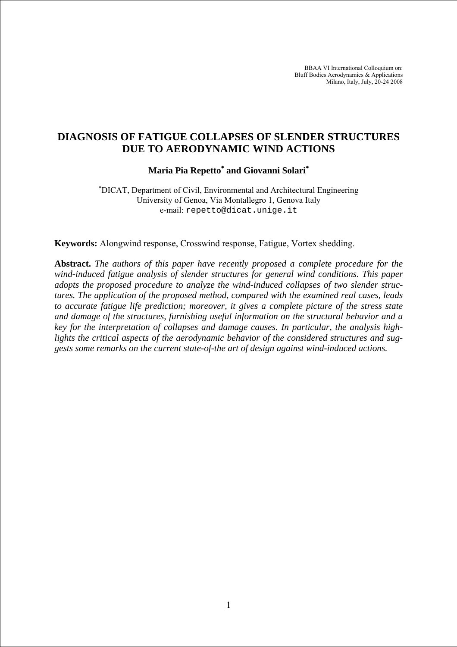BBAA VI International Colloquium on: Bluff Bodies Aerodynamics & Applications Milano, Italy, July, 20-24 2008

# **DIAGNOSIS OF FATIGUE COLLAPSES OF SLENDER STRUCTURES DUE TO AERODYNAMIC WIND ACTIONS**

## **Maria Pia Repetto**<sup>∗</sup>  **and Giovanni Solari**<sup>∗</sup>

∗ DICAT, Department of Civil, Environmental and Architectural Engineering University of Genoa, Via Montallegro 1, Genova Italy e-mail: repetto@dicat.unige.it

**Keywords:** Alongwind response, Crosswind response, Fatigue, Vortex shedding.

**Abstract.** *The authors of this paper have recently proposed a complete procedure for the wind-induced fatigue analysis of slender structures for general wind conditions. This paper adopts the proposed procedure to analyze the wind-induced collapses of two slender structures. The application of the proposed method, compared with the examined real cases, leads to accurate fatigue life prediction; moreover, it gives a complete picture of the stress state and damage of the structures, furnishing useful information on the structural behavior and a key for the interpretation of collapses and damage causes. In particular, the analysis highlights the critical aspects of the aerodynamic behavior of the considered structures and suggests some remarks on the current state-of-the art of design against wind-induced actions.*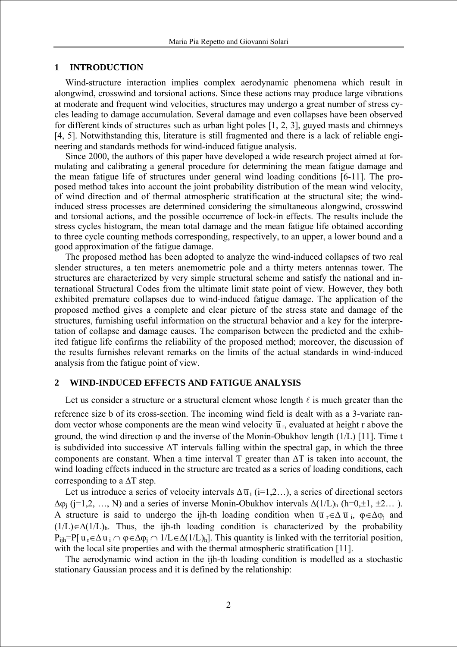#### **1 INTRODUCTION**

Wind-structure interaction implies complex aerodynamic phenomena which result in alongwind, crosswind and torsional actions. Since these actions may produce large vibrations at moderate and frequent wind velocities, structures may undergo a great number of stress cycles leading to damage accumulation. Several damage and even collapses have been observed for different kinds of structures such as urban light poles [1, 2, 3], guyed masts and chimneys [4, 5]. Notwithstanding this, literature is still fragmented and there is a lack of reliable engineering and standards methods for wind-induced fatigue analysis.

Since 2000, the authors of this paper have developed a wide research project aimed at formulating and calibrating a general procedure for determining the mean fatigue damage and the mean fatigue life of structures under general wind loading conditions [6-11]. The proposed method takes into account the joint probability distribution of the mean wind velocity, of wind direction and of thermal atmospheric stratification at the structural site; the windinduced stress processes are determined considering the simultaneous alongwind, crosswind and torsional actions, and the possible occurrence of lock-in effects. The results include the stress cycles histogram, the mean total damage and the mean fatigue life obtained according to three cycle counting methods corresponding, respectively, to an upper, a lower bound and a good approximation of the fatigue damage.

The proposed method has been adopted to analyze the wind-induced collapses of two real slender structures, a ten meters anemometric pole and a thirty meters antennas tower. The structures are characterized by very simple structural scheme and satisfy the national and international Structural Codes from the ultimate limit state point of view. However, they both exhibited premature collapses due to wind-induced fatigue damage. The application of the proposed method gives a complete and clear picture of the stress state and damage of the structures, furnishing useful information on the structural behavior and a key for the interpretation of collapse and damage causes. The comparison between the predicted and the exhibited fatigue life confirms the reliability of the proposed method; moreover, the discussion of the results furnishes relevant remarks on the limits of the actual standards in wind-induced analysis from the fatigue point of view.

#### **2 WIND-INDUCED EFFECTS AND FATIGUE ANALYSIS**

Let us consider a structure or a structural element whose length  $\ell$  is much greater than the reference size b of its cross-section. The incoming wind field is dealt with as a 3-variate random vector whose components are the mean wind velocity  $\bar{u}_r$ , evaluated at height r above the ground, the wind direction  $\varphi$  and the inverse of the Monin-Obukhov length (1/L) [11]. Time t is subdivided into successive ∆T intervals falling within the spectral gap, in which the three components are constant. When a time interval T greater than ∆T is taken into account, the wind loading effects induced in the structure are treated as a series of loading conditions, each corresponding to a ∆T step.

Let us introduce a series of velocity intervals  $\Delta \overline{u}_i$  (i=1,2…), a series of directional sectors  $\Delta\varphi_i$  (j=1,2, …, N) and a series of inverse Monin-Obukhov intervals  $\Delta(1/L)$ <sub>h</sub> (h=0,±1, ±2…). A structure is said to undergo the ijh-th loading condition when  $\bar{u}_r \in \Delta \bar{u}_i$ ,  $\varphi \in \Delta \varphi_i$  and  $(1/L)\in\Delta(1/L)$ <sub>h</sub>. Thus, the ijh-th loading condition is characterized by the probability  $P_{\text{iib}}=P[\ \overline{u}_r \in \Delta \overline{u}_i \cap \phi \in \Delta \phi_i \cap 1/L \in \Delta(1/L)_h]$ . This quantity is linked with the territorial position, with the local site properties and with the thermal atmospheric stratification [11].

The aerodynamic wind action in the ijh-th loading condition is modelled as a stochastic stationary Gaussian process and it is defined by the relationship: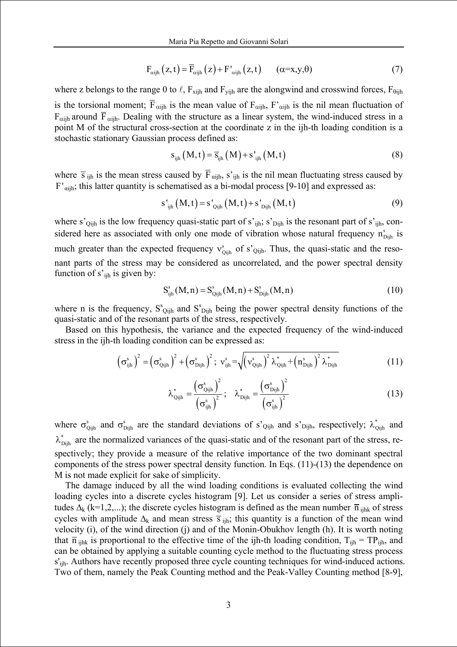$$
F_{\alpha ijh}(z,t) = \overline{F}_{\alpha ijh}(z) + F'_{\alpha ijh}(z,t) \qquad (\alpha=x,y,\theta) \tag{7}
$$

where z belongs to the range 0 to  $\ell$ ,  $F_{xiih}$  and  $F_{viih}$  are the alongwind and crosswind forces,  $F_{\theta iih}$ is the torsional moment;  $\overline{F}_{\alpha i j h}$  is the mean value of  $F_{\alpha i j h}$ ,  $F'_{\alpha i j h}$  is the nil mean fluctuation of  $F_{\alpha i i h}$  around  $\overline{F}_{\alpha i i h}$ . Dealing with the structure as a linear system, the wind-induced stress in a point M of the structural cross-section at the coordinate z in the ijh-th loading condition is a stochastic stationary Gaussian process defined as:

$$
s_{ijh}(M,t) = \overline{s}_{ijh}(M) + s'_{ijh}(M,t)
$$
\n(8)

where  $\bar{s}$  in is the mean stress caused by  $\bar{F}_{\text{aith}}$ , s'<sub>ijh</sub> is the nil mean fluctuating stress caused by  $F'_{\text{aiph}}$ ; this latter quantity is schematised as a bi-modal process [9-10] and expressed as:

$$
s'_{ijh}(M, t) = s'_{Qijh}(M, t) + s'_{Dijh}(M, t)
$$
\n(9)

where s'<sub>Qijh</sub> is the low frequency quasi-static part of s'<sub>ijh</sub>; s'<sub>Dijh</sub> is the resonant part of s'<sub>ijh</sub>, considered here as associated with only one mode of vibration whose natural frequency  $n_{\text{Dijn}}^s$  is much greater than the expected frequency  $v_{Qijn}^s$  of s'<sub>Qijh</sub>. Thus, the quasi-static and the resonant parts of the stress may be considered as uncorrelated, and the power spectral density function of  $s'$ <sub>ijh</sub> is given by:

$$
S_{ijh}^{s}(M, n) = S_{Qijh}^{s}(M, n) + S_{Dijh}^{s}(M, n)
$$
\n(10)

where n is the frequency,  $S_{Qi}$  and  $S_{Di}$  being the power spectral density functions of the quasi-static and of the resonant parts of the stress, respectively.

Based on this hypothesis, the variance and the expected frequency of the wind-induced stress in the ijh-th loading condition can be expressed as:

$$
\left(\sigma_{ijh}^{s}\right)^{2} = \left(\sigma_{0ijh}^{s}\right)^{2} + \left(\sigma_{Dijh}^{s}\right)^{2}; \ \nu_{ijh}^{s} = \sqrt{\left(\nu_{0ijh}^{s}\right)^{2} \lambda_{0ijh}^{*} + \left(n_{Dijh}^{s}\right)^{2} \lambda_{Dijh}^{*}}
$$
(11)

$$
\lambda_{\text{Qijh}}^* = \frac{\left(\sigma_{\text{Qijh}}^s\right)^2}{\left(\sigma_{\text{ijh}}^s\right)^2}; \quad \lambda_{\text{Dijh}}^* = \frac{\left(\sigma_{\text{Dijh}}^s\right)^2}{\left(\sigma_{\text{ijh}}^s\right)^2}
$$
(13)

where  $\sigma_{\text{o}ijh}^s$  and  $\sigma_{\text{Di}ijh}^s$  are the standard deviations of s'<sub>Qijh</sub> and s'<sub>Dijh</sub>, respectively;  $\lambda_{\text{o}ijh}^s$  and  $\lambda_{\text{Diih}}^*$  are the normalized variances of the quasi-static and of the resonant part of the stress, respectively; they provide a measure of the relative importance of the two dominant spectral components of the stress power spectral density function. In Eqs. (11)-(13) the dependence on M is not made explicit for sake of simplicity.

The damage induced by all the wind loading conditions is evaluated collecting the wind loading cycles into a discrete cycles histogram [9]. Let us consider a series of stress amplitudes  $\Delta_k$  (k=1,2,...); the discrete cycles histogram is defined as the mean number  $\bar{n}_{ijk}$  of stress cycles with amplitude  $\Delta_k$  and mean stress  $\bar{s}_{ijk}$ ; this quantity is a function of the mean wind velocity (i), of the wind direction (j) and of the Monin-Obukhov length (h). It is worth noting that  $\overline{n}_{ijk}$  is proportional to the effective time of the ijh-th loading condition,  $T_{ijh} = TP_{ijh}$ , and can be obtained by applying a suitable counting cycle method to the fluctuating stress process s'<sub>iih</sub>. Authors have recently proposed three cycle counting techniques for wind-induced actions. Two of them, namely the Peak Counting method and the Peak-Valley Counting method [8-9],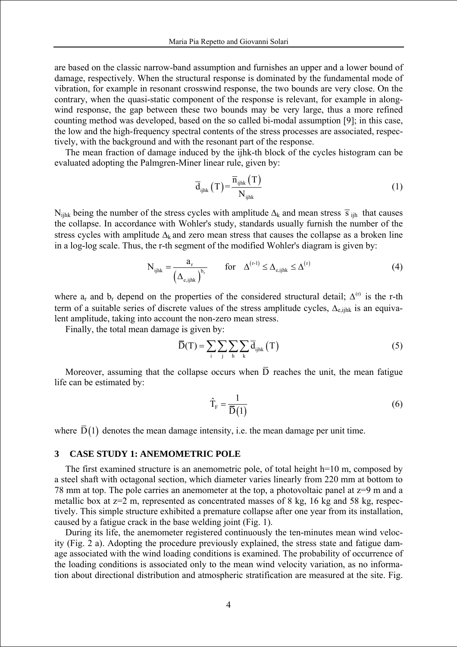are based on the classic narrow-band assumption and furnishes an upper and a lower bound of damage, respectively. When the structural response is dominated by the fundamental mode of vibration, for example in resonant crosswind response, the two bounds are very close. On the contrary, when the quasi-static component of the response is relevant, for example in alongwind response, the gap between these two bounds may be very large, thus a more refined counting method was developed, based on the so called bi-modal assumption [9]; in this case, the low and the high-frequency spectral contents of the stress processes are associated, respectively, with the background and with the resonant part of the response.

The mean fraction of damage induced by the ijhk-th block of the cycles histogram can be evaluated adopting the Palmgren-Miner linear rule, given by:

$$
\overline{\mathbf{d}}_{ijkk}(\mathbf{T}) = \frac{\overline{\mathbf{n}}_{ijhk}(\mathbf{T})}{\mathbf{N}_{ijhk}}
$$
\n(1)

N<sub>ijhk</sub> being the number of the stress cycles with amplitude  $\Delta_k$  and mean stress  $\bar{s}_{ijh}$  that causes the collapse. In accordance with Wohler's study, standards usually furnish the number of the stress cycles with amplitude  $\Delta_k$  and zero mean stress that causes the collapse as a broken line in a log-log scale. Thus, the r-th segment of the modified Wohler's diagram is given by:

$$
N_{ijkk} = \frac{a_r}{(\Delta_{e,ijkk})^{b_r}} \qquad \text{for} \quad \Delta^{(r-1)} \le \Delta_{e,ijkk} \le \Delta^{(r)} \tag{4}
$$

where  $a_r$  and  $b_r$  depend on the properties of the considered structural detail;  $\Delta^{(r)}$  is the r-th term of a suitable series of discrete values of the stress amplitude cycles,  $\Delta_{e,i}$  is an equivalent amplitude, taking into account the non-zero mean stress.

Finally, the total mean damage is given by:

$$
\overline{D}(T) = \sum_{i} \sum_{j} \sum_{h} \sum_{k} \overline{d}_{ijhk} (T)
$$
 (5)

Moreover, assuming that the collapse occurs when  $\overline{D}$  reaches the unit, the mean fatigue life can be estimated by:

$$
\hat{T}_{F} = \frac{1}{\overline{D}(1)}\tag{6}
$$

where  $\overline{D}(1)$  denotes the mean damage intensity, i.e. the mean damage per unit time.

#### **3 CASE STUDY 1: ANEMOMETRIC POLE**

The first examined structure is an anemometric pole, of total height h=10 m, composed by a steel shaft with octagonal section, which diameter varies linearly from 220 mm at bottom to 78 mm at top. The pole carries an anemometer at the top, a photovoltaic panel at z=9 m and a metallic box at  $z=2$  m, represented as concentrated masses of 8 kg, 16 kg and 58 kg, respectively. This simple structure exhibited a premature collapse after one year from its installation, caused by a fatigue crack in the base welding joint (Fig. 1).

During its life, the anemometer registered continuously the ten-minutes mean wind velocity (Fig. 2 a). Adopting the procedure previously explained, the stress state and fatigue damage associated with the wind loading conditions is examined. The probability of occurrence of the loading conditions is associated only to the mean wind velocity variation, as no information about directional distribution and atmospheric stratification are measured at the site. Fig.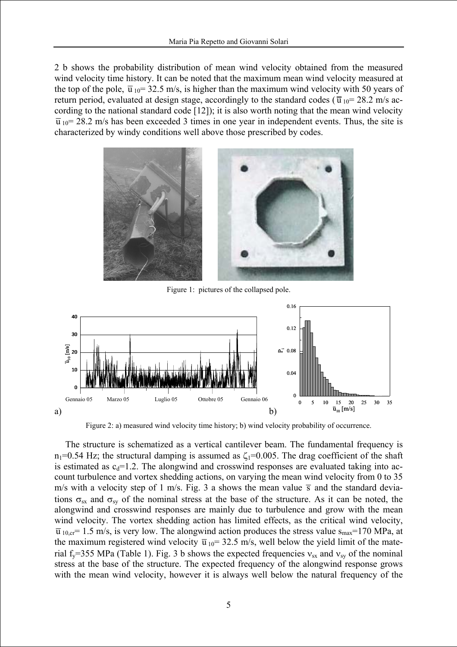2 b shows the probability distribution of mean wind velocity obtained from the measured wind velocity time history. It can be noted that the maximum mean wind velocity measured at the top of the pole,  $\overline{u}_{10}$  = 32.5 m/s, is higher than the maximum wind velocity with 50 years of return period, evaluated at design stage, accordingly to the standard codes ( $\overline{u}_{10}$ = 28.2 m/s according to the national standard code [12]); it is also worth noting that the mean wind velocity  $\overline{u}_{10}$  = 28.2 m/s has been exceeded 3 times in one year in independent events. Thus, the site is characterized by windy conditions well above those prescribed by codes.



Figure 1: pictures of the collapsed pole.



Figure 2: a) measured wind velocity time history; b) wind velocity probability of occurrence.

The structure is schematized as a vertical cantilever beam. The fundamental frequency is  $n_1=0.54$  Hz; the structural damping is assumed as  $\zeta_1=0.005$ . The drag coefficient of the shaft is estimated as  $c_d=1.2$ . The alongwind and crosswind responses are evaluated taking into account turbulence and vortex shedding actions, on varying the mean wind velocity from 0 to 35 m/s with a velocity step of 1 m/s. Fig. 3 a shows the mean value  $\overline{s}$  and the standard deviations  $\sigma_{sx}$  and  $\sigma_{sy}$  of the nominal stress at the base of the structure. As it can be noted, the alongwind and crosswind responses are mainly due to turbulence and grow with the mean wind velocity. The vortex shedding action has limited effects, as the critical wind velocity,  $\overline{u}_{10,\text{cr}}$  = 1.5 m/s, is very low. The alongwind action produces the stress value s<sub>max</sub>=170 MPa, at the maximum registered wind velocity  $\overline{u}_{10}$  = 32.5 m/s, well below the yield limit of the material f<sub>y</sub>=355 MPa (Table 1). Fig. 3 b shows the expected frequencies  $v_{sx}$  and  $v_{sy}$  of the nominal stress at the base of the structure. The expected frequency of the alongwind response grows with the mean wind velocity, however it is always well below the natural frequency of the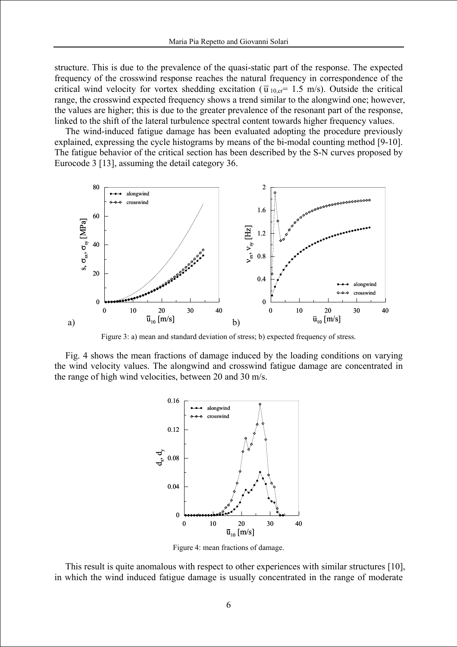structure. This is due to the prevalence of the quasi-static part of the response. The expected frequency of the crosswind response reaches the natural frequency in correspondence of the critical wind velocity for vortex shedding excitation ( $\overline{u}_{10,cr}$  = 1.5 m/s). Outside the critical range, the crosswind expected frequency shows a trend similar to the alongwind one; however, the values are higher; this is due to the greater prevalence of the resonant part of the response, linked to the shift of the lateral turbulence spectral content towards higher frequency values.

The wind-induced fatigue damage has been evaluated adopting the procedure previously explained, expressing the cycle histograms by means of the bi-modal counting method [9-10]. The fatigue behavior of the critical section has been described by the S-N curves proposed by Eurocode 3 [13], assuming the detail category 36.



Figure 3: a) mean and standard deviation of stress; b) expected frequency of stress.

Fig. 4 shows the mean fractions of damage induced by the loading conditions on varying the wind velocity values. The alongwind and crosswind fatigue damage are concentrated in the range of high wind velocities, between 20 and 30 m/s.



Figure 4: mean fractions of damage.

This result is quite anomalous with respect to other experiences with similar structures [10], in which the wind induced fatigue damage is usually concentrated in the range of moderate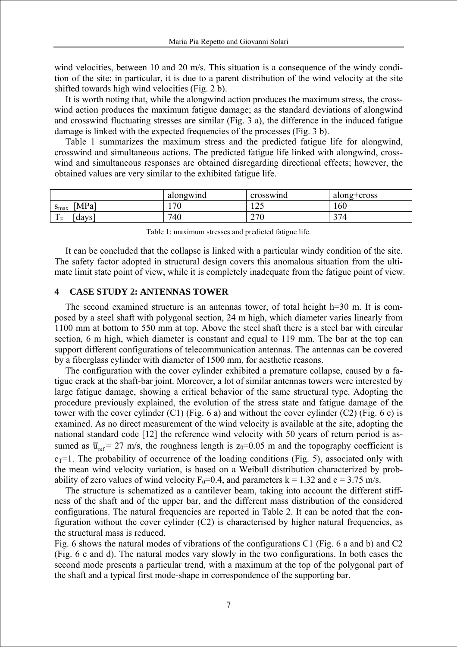wind velocities, between 10 and 20 m/s. This situation is a consequence of the windy condition of the site; in particular, it is due to a parent distribution of the wind velocity at the site shifted towards high wind velocities (Fig. 2 b).

It is worth noting that, while the alongwind action produces the maximum stress, the crosswind action produces the maximum fatigue damage; as the standard deviations of alongwind and crosswind fluctuating stresses are similar (Fig. 3 a), the difference in the induced fatigue damage is linked with the expected frequencies of the processes (Fig. 3 b).

Table 1 summarizes the maximum stress and the predicted fatigue life for alongwind, crosswind and simultaneous actions. The predicted fatigue life linked with alongwind, crosswind and simultaneous responses are obtained disregarding directional effects; however, the obtained values are very similar to the exhibited fatigue life.

|                                         | alongwind | crosswind  | along+cross    |
|-----------------------------------------|-----------|------------|----------------|
| <b>MPa</b><br>$\mathbf{p}_{\text{max}}$ | 70<br>v   | $\cap$     | 160            |
| m<br>days<br>F                          | 740       | 27f<br>210 | $\overline{a}$ |

Table 1: maximum stresses and predicted fatigue life.

It can be concluded that the collapse is linked with a particular windy condition of the site. The safety factor adopted in structural design covers this anomalous situation from the ultimate limit state point of view, while it is completely inadequate from the fatigue point of view.

### **4 CASE STUDY 2: ANTENNAS TOWER**

The second examined structure is an antennas tower, of total height h=30 m. It is composed by a steel shaft with polygonal section, 24 m high, which diameter varies linearly from 1100 mm at bottom to 550 mm at top. Above the steel shaft there is a steel bar with circular section, 6 m high, which diameter is constant and equal to 119 mm. The bar at the top can support different configurations of telecommunication antennas. The antennas can be covered by a fiberglass cylinder with diameter of 1500 mm, for aesthetic reasons.

The configuration with the cover cylinder exhibited a premature collapse, caused by a fatigue crack at the shaft-bar joint. Moreover, a lot of similar antennas towers were interested by large fatigue damage, showing a critical behavior of the same structural type. Adopting the procedure previously explained, the evolution of the stress state and fatigue damage of the tower with the cover cylinder  $(C1)$  (Fig. 6 a) and without the cover cylinder  $(C2)$  (Fig. 6 c) is examined. As no direct measurement of the wind velocity is available at the site, adopting the national standard code [12] the reference wind velocity with 50 years of return period is assumed as  $\overline{u}_{ref} = 27$  m/s, the roughness length is  $z_0=0.05$  m and the topography coefficient is  $c_T=1$ . The probability of occurrence of the loading conditions (Fig. 5), associated only with the mean wind velocity variation, is based on a Weibull distribution characterized by probability of zero values of wind velocity  $F_0=0.4$ , and parameters  $k = 1.32$  and  $c = 3.75$  m/s.

The structure is schematized as a cantilever beam, taking into account the different stiffness of the shaft and of the upper bar, and the different mass distribution of the considered configurations. The natural frequencies are reported in Table 2. It can be noted that the configuration without the cover cylinder (C2) is characterised by higher natural frequencies, as the structural mass is reduced.

Fig. 6 shows the natural modes of vibrations of the configurations C1 (Fig. 6 a and b) and C2 (Fig. 6 c and d). The natural modes vary slowly in the two configurations. In both cases the second mode presents a particular trend, with a maximum at the top of the polygonal part of the shaft and a typical first mode-shape in correspondence of the supporting bar.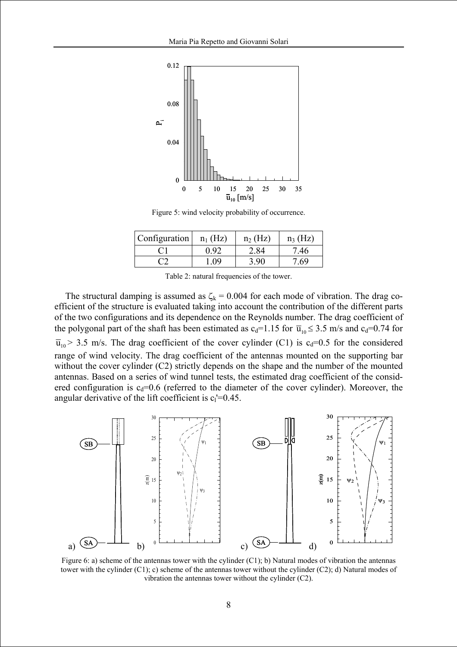

Figure 5: wind velocity probability of occurrence.

| Configuration | $n_1$ (Hz) | $n_2$ (Hz) | $n_3$ (Hz) |
|---------------|------------|------------|------------|
|               | ი 92       | 2.84       | 7.46       |
|               | 09         | 0.90       | -69        |

Table 2: natural frequencies of the tower.

The structural damping is assumed as  $\zeta_k = 0.004$  for each mode of vibration. The drag coefficient of the structure is evaluated taking into account the contribution of the different parts of the two configurations and its dependence on the Reynolds number. The drag coefficient of the polygonal part of the shaft has been estimated as  $c_d=1.15$  for  $\overline{u}_{10} \leq 3.5$  m/s and  $c_d=0.74$  for  $\overline{u}_{10}$  > 3.5 m/s. The drag coefficient of the cover cylinder (C1) is c<sub>d</sub>=0.5 for the considered range of wind velocity. The drag coefficient of the antennas mounted on the supporting bar without the cover cylinder (C2) strictly depends on the shape and the number of the mounted antennas. Based on a series of wind tunnel tests, the estimated drag coefficient of the considered configuration is  $c_d=0.6$  (referred to the diameter of the cover cylinder). Moreover, the angular derivative of the lift coefficient is  $c_1 = 0.45$ .



Figure 6: a) scheme of the antennas tower with the cylinder  $(C1)$ ; b) Natural modes of vibration the antennas tower with the cylinder  $(C1)$ ; c) scheme of the antennas tower without the cylinder  $(C2)$ ; d) Natural modes of vibration the antennas tower without the cylinder (C2).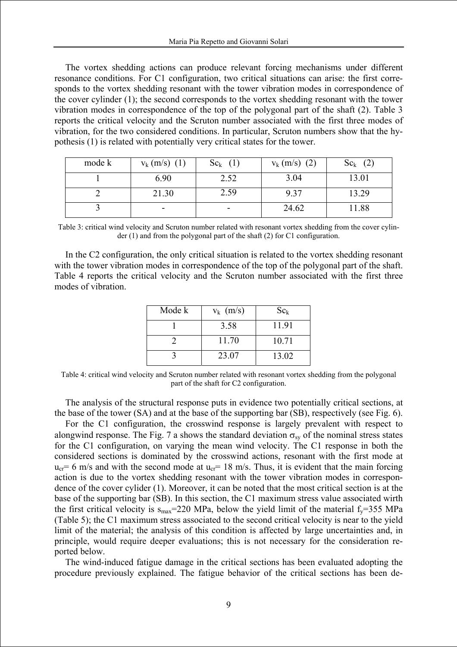The vortex shedding actions can produce relevant forcing mechanisms under different resonance conditions. For C1 configuration, two critical situations can arise: the first corresponds to the vortex shedding resonant with the tower vibration modes in correspondence of the cover cylinder (1); the second corresponds to the vortex shedding resonant with the tower vibration modes in correspondence of the top of the polygonal part of the shaft (2). Table 3 reports the critical velocity and the Scruton number associated with the first three modes of vibration, for the two considered conditions. In particular, Scruton numbers show that the hypothesis (1) is related with potentially very critical states for the tower.

| mode k | $v_k$ (m/s) (1) | $Sc_{k}$ (1)             | $v_{k}(m/s)$ (2) | $Sc_k(2)$ |
|--------|-----------------|--------------------------|------------------|-----------|
|        | 6.90            | 2.52                     | 3.04             | 13.01     |
|        | 21.30           | 2.59                     | 9.37             | 13.29     |
|        | -               | $\overline{\phantom{0}}$ | 24.62            | 11.88     |

Table 3: critical wind velocity and Scruton number related with resonant vortex shedding from the cover cylinder (1) and from the polygonal part of the shaft (2) for C1 configuration.

In the C2 configuration, the only critical situation is related to the vortex shedding resonant with the tower vibration modes in correspondence of the top of the polygonal part of the shaft. Table 4 reports the critical velocity and the Scruton number associated with the first three modes of vibration.

| Mode k | $v_k$ (m/s) | $Sc_{k}$ |
|--------|-------------|----------|
|        | 3.58        | 11.91    |
|        | 11.70       | 10.71    |
|        | 23.07       | 13.02    |

Table 4: critical wind velocity and Scruton number related with resonant vortex shedding from the polygonal part of the shaft for C2 configuration.

The analysis of the structural response puts in evidence two potentially critical sections, at the base of the tower (SA) and at the base of the supporting bar (SB), respectively (see Fig. 6).

For the C1 configuration, the crosswind response is largely prevalent with respect to alongwind response. The Fig. 7 a shows the standard deviation  $\sigma_{\rm sv}$  of the nominal stress states for the C1 configuration, on varying the mean wind velocity. The C1 response in both the considered sections is dominated by the crosswind actions, resonant with the first mode at  $u_{cr}$  = 6 m/s and with the second mode at  $u_{cr}$  = 18 m/s. Thus, it is evident that the main forcing action is due to the vortex shedding resonant with the tower vibration modes in correspondence of the cover cylider (1). Moreover, it can be noted that the most critical section is at the base of the supporting bar (SB). In this section, the C1 maximum stress value associated wirth the first critical velocity is  $s_{max}$ =220 MPa, below the yield limit of the material  $f_v$ =355 MPa (Table 5); the C1 maximum stress associated to the second critical velocity is near to the yield limit of the material; the analysis of this condition is affected by large uncertainties and, in principle, would require deeper evaluations; this is not necessary for the consideration reported below.

The wind-induced fatigue damage in the critical sections has been evaluated adopting the procedure previously explained. The fatigue behavior of the critical sections has been de-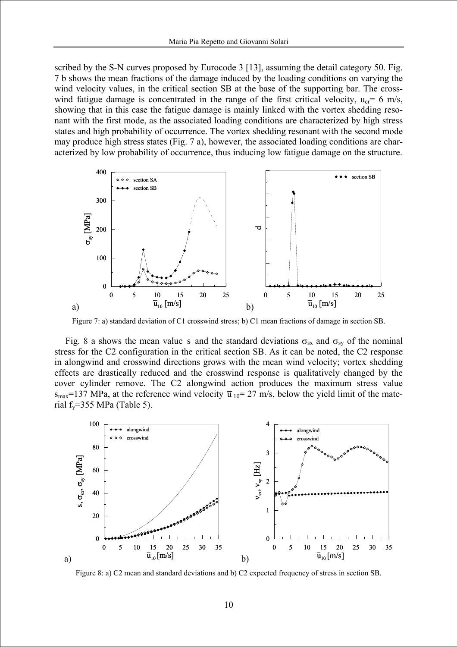scribed by the S-N curves proposed by Eurocode 3 [13], assuming the detail category 50. Fig. 7 b shows the mean fractions of the damage induced by the loading conditions on varying the wind velocity values, in the critical section SB at the base of the supporting bar. The crosswind fatigue damage is concentrated in the range of the first critical velocity,  $u_{cr} = 6$  m/s, showing that in this case the fatigue damage is mainly linked with the vortex shedding resonant with the first mode, as the associated loading conditions are characterized by high stress states and high probability of occurrence. The vortex shedding resonant with the second mode may produce high stress states (Fig. 7 a), however, the associated loading conditions are characterized by low probability of occurrence, thus inducing low fatigue damage on the structure.



Figure 7: a) standard deviation of C1 crosswind stress; b) C1 mean fractions of damage in section SB.

Fig. 8 a shows the mean value  $\bar{s}$  and the standard deviations  $\sigma_{sx}$  and  $\sigma_{sy}$  of the nominal stress for the C2 configuration in the critical section SB. As it can be noted, the C2 response in alongwind and crosswind directions grows with the mean wind velocity; vortex shedding effects are drastically reduced and the crosswind response is qualitatively changed by the cover cylinder remove. The C2 alongwind action produces the maximum stress value  $s_{\text{max}}$ =137 MPa, at the reference wind velocity  $\overline{u}_{10}$ = 27 m/s, below the yield limit of the material  $f_v$ =355 MPa (Table 5).



Figure 8: a) C2 mean and standard deviations and b) C2 expected frequency of stress in section SB.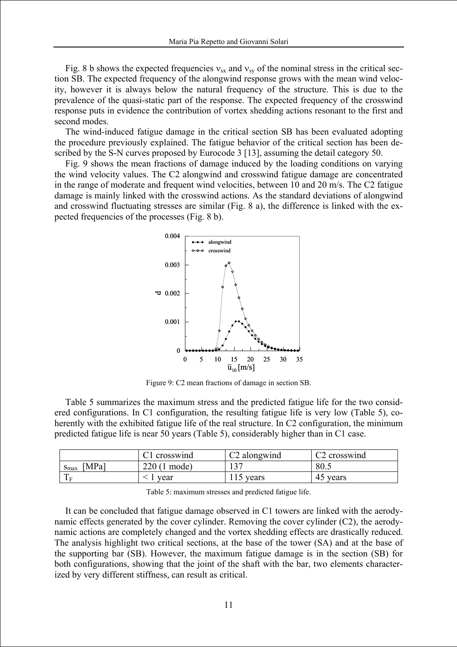Fig. 8 b shows the expected frequencies  $v_{sx}$  and  $v_{sy}$  of the nominal stress in the critical section SB. The expected frequency of the alongwind response grows with the mean wind velocity, however it is always below the natural frequency of the structure. This is due to the prevalence of the quasi-static part of the response. The expected frequency of the crosswind response puts in evidence the contribution of vortex shedding actions resonant to the first and second modes.

The wind-induced fatigue damage in the critical section SB has been evaluated adopting the procedure previously explained. The fatigue behavior of the critical section has been described by the S-N curves proposed by Eurocode 3 [13], assuming the detail category 50.

Fig. 9 shows the mean fractions of damage induced by the loading conditions on varying the wind velocity values. The C2 alongwind and crosswind fatigue damage are concentrated in the range of moderate and frequent wind velocities, between 10 and 20 m/s. The C2 fatigue damage is mainly linked with the crosswind actions. As the standard deviations of alongwind and crosswind fluctuating stresses are similar (Fig. 8 a), the difference is linked with the expected frequencies of the processes (Fig. 8 b).



Figure 9: C2 mean fractions of damage in section SB.

Table 5 summarizes the maximum stress and the predicted fatigue life for the two considered configurations. In C1 configuration, the resulting fatigue life is very low (Table 5), coherently with the exhibited fatigue life of the real structure. In C2 configuration, the minimum predicted fatigue life is near 50 years (Table 5), considerably higher than in C1 case.

|                      | crosswind       | C <sub>2</sub> alongwind | C <sub>2</sub> crosswind |
|----------------------|-----------------|--------------------------|--------------------------|
| MPai<br><b>P</b> max | 220(1)<br>mode) | $1 \cap \Box$            | 80.5                     |
| $\mathbf{r}$         | year            | vears<br>.               | vears<br>4∍              |

Table 5: maximum stresses and predicted fatigue life.

It can be concluded that fatigue damage observed in C1 towers are linked with the aerodynamic effects generated by the cover cylinder. Removing the cover cylinder (C2), the aerodynamic actions are completely changed and the vortex shedding effects are drastically reduced. The analysis highlight two critical sections, at the base of the tower (SA) and at the base of the supporting bar (SB). However, the maximum fatigue damage is in the section (SB) for both configurations, showing that the joint of the shaft with the bar, two elements characterized by very different stiffness, can result as critical.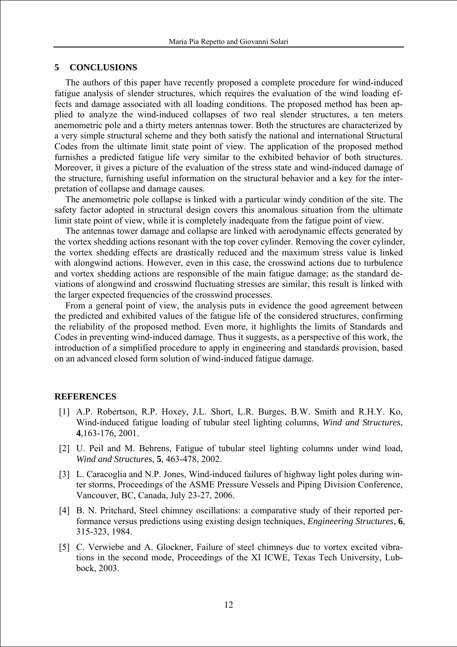## **5 CONCLUSIONS**

The authors of this paper have recently proposed a complete procedure for wind-induced fatigue analysis of slender structures, which requires the evaluation of the wind loading effects and damage associated with all loading conditions. The proposed method has been applied to analyze the wind-induced collapses of two real slender structures, a ten meters anemometric pole and a thirty meters antennas tower. Both the structures are characterized by a very simple structural scheme and they both satisfy the national and international Structural Codes from the ultimate limit state point of view. The application of the proposed method furnishes a predicted fatigue life very similar to the exhibited behavior of both structures. Moreover, it gives a picture of the evaluation of the stress state and wind-induced damage of the structure, furnishing useful information on the structural behavior and a key for the interpretation of collapse and damage causes.

The anemometric pole collapse is linked with a particular windy condition of the site. The safety factor adopted in structural design covers this anomalous situation from the ultimate limit state point of view, while it is completely inadequate from the fatigue point of view.

The antennas tower damage and collapse are linked with aerodynamic effects generated by the vortex shedding actions resonant with the top cover cylinder. Removing the cover cylinder, the vortex shedding effects are drastically reduced and the maximum stress value is linked with alongwind actions. However, even in this case, the crosswind actions due to turbulence and vortex shedding actions are responsible of the main fatigue damage; as the standard deviations of alongwind and crosswind fluctuating stresses are similar, this result is linked with the larger expected frequencies of the crosswind processes.

From a general point of view, the analysis puts in evidence the good agreement between the predicted and exhibited values of the fatigue life of the considered structures, confirming the reliability of the proposed method. Even more, it highlights the limits of Standards and Codes in preventing wind-induced damage. Thus it suggests, as a perspective of this work, the introduction of a simplified procedure to apply in engineering and standards provision, based on an advanced closed form solution of wind-induced fatigue damage.

## **REFERENCES**

- [1] A.P. Robertson, R.P. Hoxey, J.L. Short, L.R. Burges, B.W. Smith and R.H.Y. Ko, Wind-induced fatigue loading of tubular steel lighting columns, *Wind and Structures*, **4**,163-176, 2001.
- [2] U. Peil and M. Behrens, Fatigue of tubular steel lighting columns under wind load, *Wind and Structures*, **5**, 463-478, 2002.
- [3] L. Caracoglia and N.P. Jones, Wind-induced failures of highway light poles during winter storms, Proceedings of the ASME Pressure Vessels and Piping Division Conference, Vancouver, BC, Canada, July 23-27, 2006.
- [4] B. N. Pritchard, Steel chimney oscillations: a comparative study of their reported performance versus predictions using existing design techniques, *Engineering Structures*, **6**, 315-323, 1984.
- [5] C. Verwiebe and A. Glockner, Failure of steel chimneys due to vortex excited vibrations in the second mode, Proceedings of the XI ICWE, Texas Tech University, Lubbock, 2003.